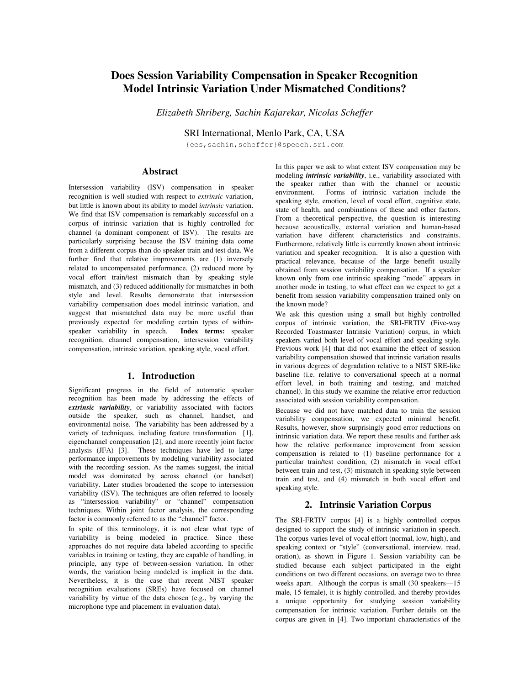# **Does Session Variability Compensation in Speaker Recognition Model Intrinsic Variation Under Mismatched Conditions?**

*Elizabeth Shriberg, Sachin Kajarekar, Nicolas Scheffer*

SRI International, Menlo Park, CA, USA

{ees,sachin,scheffer}@speech.sri.com

# **Abstract**

Intersession variability (ISV) compensation in speaker recognition is well studied with respect to *extrinsic* variation, but little is known about its ability to model *intrinsic* variation. We find that ISV compensation is remarkably successful on a corpus of intrinsic variation that is highly controlled for channel (a dominant component of ISV). The results are particularly surprising because the ISV training data come from a different corpus than do speaker train and test data. We further find that relative improvements are  $(1)$  inversely related to uncompensated performance, (2) reduced more by vocal effort train/test mismatch than by speaking style mismatch, and (3) reduced additionally for mismatches in both style and level. Results demonstrate that intersession variability compensation does model intrinsic variation, and suggest that mismatched data may be more useful than previously expected for modeling certain types of withinspeaker variability in speech. **Index terms:** speaker recognition, channel compensation, intersession variability compensation, intrinsic variation, speaking style, vocal effort.

## **1. Introduction**

Significant progress in the field of automatic speaker recognition has been made by addressing the effects of *extrinsic variability*, or variability associated with factors outside the speaker, such as channel, handset, and environmental noise. The variability has been addressed by a variety of techniques, including feature transformation [1], eigenchannel compensation [2], and more recently joint factor analysis (JFA) [3]. These techniques have led to large performance improvements by modeling variability associated with the recording session. As the names suggest, the initial model was dominated by across channel (or handset) variability. Later studies broadened the scope to intersession variability (ISV). The techniques are often referred to loosely as "intersession variability" or "channel" compensation techniques. Within joint factor analysis, the corresponding factor is commonly referred to as the "channel" factor.

In spite of this terminology, it is not clear what type of variability is being modeled in practice. Since these approaches do not require data labeled according to specific variables in training or testing, they are capable of handling, in principle, any type of between-session variation. In other words, the variation being modeled is implicit in the data. Nevertheless, it is the case that recent NIST speaker recognition evaluations (SREs) have focused on channel variability by virtue of the data chosen (e.g., by varying the microphone type and placement in evaluation data).

In this paper we ask to what extent ISV compensation may be modeling *intrinsic variability*, i.e., variability associated with the speaker rather than with the channel or acoustic environment. Forms of intrinsic variation include the speaking style, emotion, level of vocal effort, cognitive state, state of health, and combinations of these and other factors. From a theoretical perspective, the question is interesting because acoustically, external variation and human-based variation have different characteristics and constraints. Furthermore, relatively little is currently known about intrinsic variation and speaker recognition. It is also a question with practical relevance, because of the large benefit usually obtained from session variability compensation. If a speaker known only from one intrinsic speaking "mode" appears in another mode in testing, to what effect can we expect to get a benefit from session variability compensation trained only on the known mode?

We ask this question using a small but highly controlled corpus of intrinsic variation, the SRI-FRTIV (Five-way Recorded Toastmaster Intrinsic Variation) corpus, in which speakers varied both level of vocal effort and speaking style. Previous work [4] that did not examine the effect of session variability compensation showed that intrinsic variation results in various degrees of degradation relative to a NIST SRE-like baseline (i.e. relative to conversational speech at a normal effort level, in both training and testing, and matched channel). In this study we examine the relative error reduction associated with session variability compensation.

Because we did not have matched data to train the session variability compensation, we expected minimal benefit. Results, however, show surprisingly good error reductions on intrinsic variation data. We report these results and further ask how the relative performance improvement from session compensation is related to (1) baseline performance for a particular train/test condition, (2) mismatch in vocal effort between train and test, (3) mismatch in speaking style between train and test, and (4) mismatch in both vocal effort and speaking style.

## **2. Intrinsic Variation Corpus**

The SRI-FRTIV corpus [4] is a highly controlled corpus designed to support the study of intrinsic variation in speech. The corpus varies level of vocal effort (normal, low, high), and speaking context or "style" (conversational, interview, read, oration), as shown in Figure 1. Session variability can be studied because each subject participated in the eight conditions on two different occasions, on average two to three weeks apart. Although the corpus is small (30 speakers—15 male, 15 female), it is highly controlled, and thereby provides a unique opportunity for studying session variability compensation for intrinsic variation. Further details on the corpus are given in [4]. Two important characteristics of the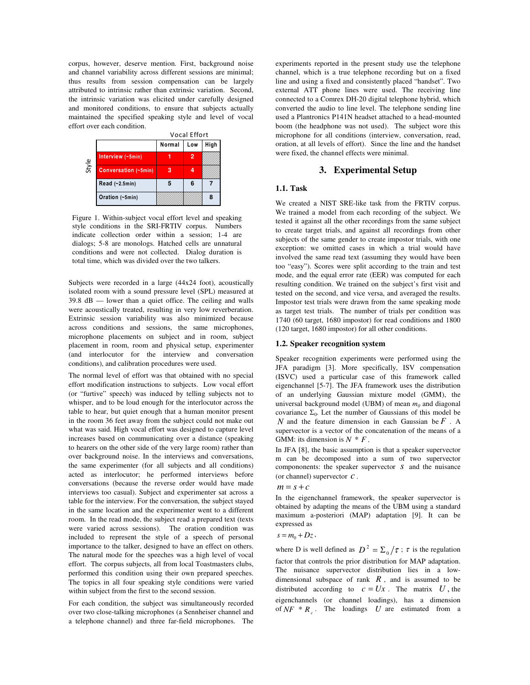corpus, however, deserve mention. First, background noise and channel variability across different sessions are minimal; thus results from session compensation can be largely attributed to intrinsic rather than extrinsic variation. Second, the intrinsic variation was elicited under carefully designed and monitored conditions, to ensure that subjects actually maintained the specified speaking style and level of vocal effort over each condition.

|       |                      | <b>Vocal Effort</b> |     |      |
|-------|----------------------|---------------------|-----|------|
|       |                      | Normal              | Low | High |
| Style | Interview (~5min)    |                     |     |      |
|       | Conversation (~5min) | з                   |     |      |
|       | Read (~2.5min)       |                     |     |      |
|       | Oration (~5min)      |                     |     |      |

Figure 1. Within-subject vocal effort level and speaking style conditions in the SRI-FRTIV corpus. Numbers indicate collection order within a session; 1-4 are dialogs; 5-8 are monologs. Hatched cells are unnatural conditions and were not collected. Dialog duration is total time, which was divided over the two talkers.

Subjects were recorded in a large (44x24 foot), acoustically isolated room with a sound pressure level (SPL) measured at 39.8 dB — lower than a quiet office. The ceiling and walls were acoustically treated, resulting in very low reverberation. Extrinsic session variability was also minimized because across conditions and sessions, the same microphones, microphone placements on subject and in room, subject placement in room, room and physical setup, experimenter (and interlocutor for the interview and conversation conditions), and calibration procedures were used.

The normal level of effort was that obtained with no special effort modification instructions to subjects. Low vocal effort (or "furtive" speech) was induced by telling subjects not to whisper, and to be loud enough for the interlocutor across the table to hear, but quiet enough that a human monitor present in the room 36 feet away from the subject could not make out what was said. High vocal effort was designed to capture level increases based on communicating over a distance (speaking to hearers on the other side of the very large room) rather than over background noise. In the interviews and conversations, the same experimenter (for all subjects and all conditions) acted as interlocutor; he performed interviews before conversations (because the reverse order would have made interviews too casual). Subject and experimenter sat across a table for the interview. For the conversation, the subject stayed in the same location and the experimenter went to a different room. In the read mode, the subject read a prepared text (texts were varied across sessions). The oration condition was included to represent the style of a speech of personal importance to the talker, designed to have an effect on others. The natural mode for the speeches was a high level of vocal effort. The corpus subjects, all from local Toastmasters clubs, performed this condition using their own prepared speeches. The topics in all four speaking style conditions were varied within subject from the first to the second session.

For each condition, the subject was simultaneously recorded over two close-talking microphones (a Sennheiser channel and a telephone channel) and three far-field microphones. The experiments reported in the present study use the telephone channel, which is a true telephone recording but on a fixed line and using a fixed and consistently placed "handset". Two external ATT phone lines were used. The receiving line connected to a Comrex DH-20 digital telephone hybrid, which converted the audio to line level. The telephone sending line used a Plantronics P141N headset attached to a head-mounted boom (the headphone was not used). The subject wore this microphone for all conditions (interview, conversation, read, oration, at all levels of effort). Since the line and the handset were fixed, the channel effects were minimal.

# **3. Experimental Setup**

## **1.1. Task**

We created a NIST SRE-like task from the FRTIV corpus. We trained a model from each recording of the subject. We tested it against all the other recordings from the same subject to create target trials, and against all recordings from other subjects of the same gender to create impostor trials, with one exception: we omitted cases in which a trial would have involved the same read text (assuming they would have been too "easy"). Scores were split according to the train and test mode, and the equal error rate (EER) was computed for each resulting condition. We trained on the subject's first visit and tested on the second, and vice versa, and averaged the results. Impostor test trials were drawn from the same speaking mode as target test trials. The number of trials per condition was 1740 (60 target, 1680 impostor) for read conditions and 1800 (120 target, 1680 impostor) for all other conditions.

## **1.2. Speaker recognition system**

Speaker recognition experiments were performed using the JFA paradigm [3]. More specifically, ISV compensation (ISVC) used a particular case of this framework called eigenchannel [5-7]. The JFA framework uses the distribution of an underlying Gaussian mixture model (GMM), the universal background model (UBM) of mean *m<sup>0</sup>* and diagonal covariance  $\Sigma_0$ . Let the number of Gaussians of this model be *N* and the feature dimension in each Gaussian be *F* . A supervector is a vector of the concatenation of the means of a GMM: its dimension is  $N * F$ .

In JFA [8], the basic assumption is that a speaker supervector m can be decomposed into a sum of two supervector compononents: the speaker supervector *s* and the nuisance (or channel) supervector *c* .

$$
m = s + c
$$

In the eigenchannel framework, the speaker supervector is obtained by adapting the means of the UBM using a standard maximum a-posteriori (MAP) adaptation [9]. It can be expressed as

$$
s=m_0+Dz
$$

,

where D is well defined as  $D^2 = \sum_{\alpha} / \tau$ ;  $\tau$  is the regulation factor that controls the prior distribution for MAP adaptation. The nuisance supervector distribution lies in a lowdimensional subspace of rank  $R$ , and is assumed to be distributed according to  $c = Ux$ . The matrix  $U$ , the eigenchannels (or channel loadings), has a dimension of  $NF * R_c$ . The loadings *U* are estimated from a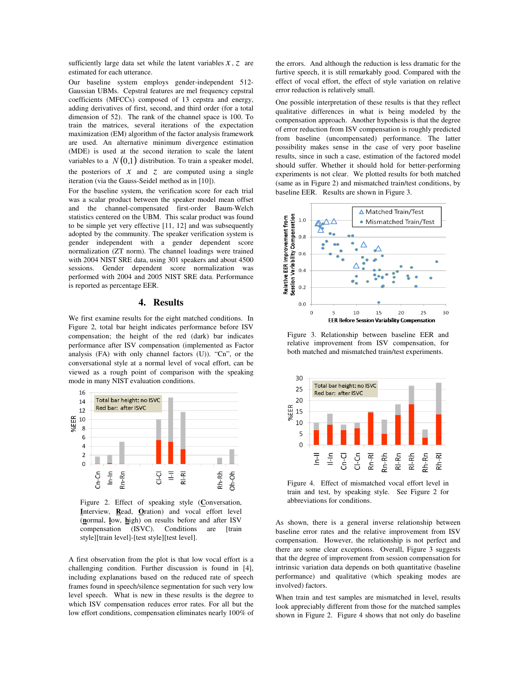sufficiently large data set while the latent variables  $x$ ,  $z$  are estimated for each utterance.

Our baseline system employs gender-independent 512- Gaussian UBMs. Cepstral features are mel frequency cepstral coefficients (MFCCs) composed of 13 cepstra and energy, adding derivatives of first, second, and third order (for a total dimension of 52). The rank of the channel space is 100. To train the matrices, several iterations of the expectation maximization (EM) algorithm of the factor analysis framework are used. An alternative minimum divergence estimation (MDE) is used at the second iteration to scale the latent variables to a  $N(0,1)$  distribution. To train a speaker model, the posteriors of  $\bar{x}$  and  $\bar{z}$  are computed using a single iteration (via the Gauss-Seidel method as in [10]).

For the baseline system, the verification score for each trial was a scalar product between the speaker model mean offset and the channel-compensated first-order Baum-Welch statistics centered on the UBM. This scalar product was found to be simple yet very effective [11, 12] and was subsequently adopted by the community. The speaker verification system is gender independent with a gender dependent score normalization (ZT norm). The channel loadings were trained with 2004 NIST SRE data, using 301 speakers and about 4500 sessions. Gender dependent score normalization was performed with 2004 and 2005 NIST SRE data. Performance is reported as percentage EER.

#### **4. Results**

We first examine results for the eight matched conditions. In Figure 2, total bar height indicates performance before ISV compensation; the height of the red (dark) bar indicates performance after ISV compensation (implemented as Factor analysis (FA) with only channel factors (U)). "Cn", or the conversational style at a normal level of vocal effort, can be viewed as a rough point of comparison with the speaking mode in many NIST evaluation conditions.



Figure 2. Effect of speaking style (**C**onversation, **I**nterview, **R**ead, **O**ration) and vocal effort level (**n**ormal, **l**ow, **h**igh) on results before and after ISV compensation (ISVC). Conditions are [train style][train level]-[test style][test level].

A first observation from the plot is that low vocal effort is a challenging condition. Further discussion is found in [4], including explanations based on the reduced rate of speech frames found in speech/silence segmentation for such very low level speech. What is new in these results is the degree to which ISV compensation reduces error rates. For all but the low effort conditions, compensation eliminates nearly 100% of the errors. And although the reduction is less dramatic for the furtive speech, it is still remarkably good. Compared with the effect of vocal effort, the effect of style variation on relative error reduction is relatively small.

One possible interpretation of these results is that they reflect qualitative differences in what is being modeled by the compensation approach. Another hypothesis is that the degree of error reduction from ISV compensation is roughly predicted from baseline (uncompensated) performance. The latter possibility makes sense in the case of very poor baseline results, since in such a case, estimation of the factored model should suffer. Whether it should hold for better-performing experiments is not clear. We plotted results for both matched (same as in Figure 2) and mismatched train/test conditions, by baseline EER. Results are shown in Figure 3.



Figure 3. Relationship between baseline EER and relative improvement from ISV compensation, for both matched and mismatched train/test experiments.



Figure 4. Effect of mismatched vocal effort level in train and test, by speaking style. See Figure 2 for abbreviations for conditions.

As shown, there is a general inverse relationship between baseline error rates and the relative improvement from ISV compensation. However, the relationship is not perfect and there are some clear exceptions. Overall, Figure 3 suggests that the degree of improvement from session compensation for intrinsic variation data depends on both quantitative (baseline performance) and qualitative (which speaking modes are involved) factors.

When train and test samples are mismatched in level, results look appreciably different from those for the matched samples shown in Figure 2. Figure 4 shows that not only do baseline